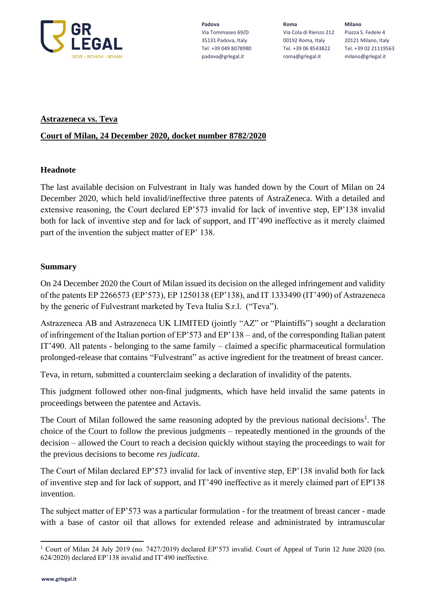

**Padova** Via Tommaseo 69/D 35131 Padova, Italy Tel. +39 049 8078980 padova@grlegal.it

**Roma** Via Cola di Rienzo 212 00192 Roma, Italy Tel. +39 06 8543822 roma@grlegal.it

**Milano** Piazza S. Fedele 4 20121 Milano, Italy Tel. +39 02 21119563 milano@grlegal.it

### **Astrazeneca vs. Teva**

# **Court of Milan, 24 December 2020, docket number 8782/2020**

### **Headnote**

The last available decision on Fulvestrant in Italy was handed down by the Court of Milan on 24 December 2020, which held invalid/ineffective three patents of AstraZeneca. With a detailed and extensive reasoning, the Court declared EP'573 invalid for lack of inventive step, EP'138 invalid both for lack of inventive step and for lack of support, and IT'490 ineffective as it merely claimed part of the invention the subject matter of EP' 138.

# **Summary**

On 24 December 2020 the Court of Milan issued its decision on the alleged infringement and validity of the patents EP 2266573 (EP'573), EP 1250138 (EP'138), and IT 1333490 (IT'490) of Astrazeneca by the generic of Fulvestrant marketed by Teva Italia S.r.l. ("Teva").

Astrazeneca AB and Astrazeneca UK LIMITED (jointly "AZ" or "Plaintiffs") sought a declaration of infringement of the Italian portion of EP'573 and EP'138 – and, of the corresponding Italian patent IT'490. All patents - belonging to the same family – claimed a specific pharmaceutical formulation prolonged-release that contains "Fulvestrant" as [active ingredient](https://context.reverso.net/traduzione/inglese-italiano/active+ingredient) for the treatment of breast cancer.

Teva, in return, submitted a counterclaim seeking a declaration of invalidity of the patents.

This judgment followed other non-final judgments, which have held invalid the same patents in proceedings between the patentee and Actavis.

The Court of Milan followed the same reasoning adopted by the previous national decisions<sup>1</sup>. The choice of the Court to follow the previous judgments – repeatedly mentioned in the grounds of the decision – allowed the Court to reach a decision quickly without staying the proceedings to wait for the previous decisions to become *res judicata*.

The Court of Milan declared EP'573 invalid for lack of inventive step, EP'138 invalid both for lack of inventive step and for lack of support, and IT'490 ineffective as it merely claimed part of EP'138 invention.

The subject matter of EP'573 was a particular formulation - for the treatment of breast cancer - made with a base of castor oil that allows for extended release and administrated by intramuscular

<sup>1</sup> Court of Milan 24 July 2019 (no. 7427/2019) declared EP'573 invalid. Court of Appeal of Turin 12 June 2020 (no. 624/2020) declared EP'138 invalid and IT'490 ineffective.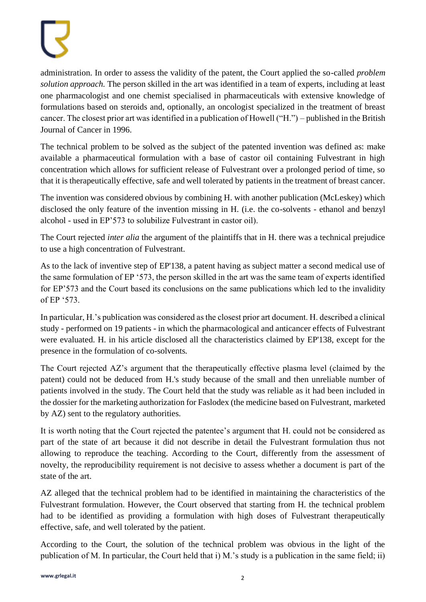administration. In order to assess the validity of the patent, the Court applied the so-called *problem solution approach.* The person skilled in the art was identified in a team of experts, including at least one pharmacologist and one chemist specialised in pharmaceuticals with extensive knowledge of formulations based on steroids and, optionally, an oncologist specialized in the treatment of breast cancer. The closest prior art was identified in a publication of Howell ("H.") – published in the British Journal of Cancer in 1996.

The technical problem to be solved as the subject of the patented invention was defined as: make available a pharmaceutical formulation with a base of castor oil containing Fulvestrant in high concentration which allows for sufficient release of Fulvestrant over a prolonged period of time, so that it is therapeutically effective, safe and well tolerated by patients in the treatment of breast cancer.

The invention was considered obvious by combining H. with another publication (McLeskey) which disclosed the only feature of the invention missing in H. (i.e. the co-solvents - ethanol and benzyl alcohol - used in EP'573 to solubilize Fulvestrant in castor oil).

The Court rejected *inter alia* the argument of the plaintiffs that in H. there was a technical prejudice to use a high concentration of Fulvestrant.

As to the lack of inventive step of EP'138, a patent having as subject matter a second medical use of the same formulation of EP '573, the person skilled in the art was the same team of experts identified for EP'573 and the Court based its conclusions on the same publications which led to the invalidity of EP '573.

In particular, H.'s publication was considered as the closest prior art document. H. described a clinical study - performed on 19 patients - in which the pharmacological and anticancer effects of Fulvestrant were evaluated. H. in his article disclosed all the characteristics claimed by EP'138, except for the presence in the formulation of co-solvents.

The Court rejected AZ's argument that the therapeutically effective plasma level (claimed by the patent) could not be deduced from H.'s study because of the small and then unreliable number of patients involved in the study. The Court held that the study was reliable as it had been included in the dossier for the marketing authorization for Faslodex (the medicine based on Fulvestrant, marketed by AZ) sent to the regulatory authorities.

It is worth noting that the Court rejected the patentee's argument that H. could not be considered as part of the state of art because it did not describe in detail the Fulvestrant formulation thus not allowing to reproduce the teaching. According to the Court, differently from the assessment of novelty, the reproducibility requirement is not decisive to assess whether a document is part of the state of the art.

AZ alleged that the technical problem had to be identified in maintaining the characteristics of the Fulvestrant formulation. However, the Court observed that starting from H. the technical problem had to be identified as providing a formulation with high doses of Fulvestrant therapeutically effective, safe, and well tolerated by the patient.

According to the Court, the solution of the technical problem was obvious in the light of the publication of M. In particular, the Court held that i) M.'s study is a publication in the same field; ii)